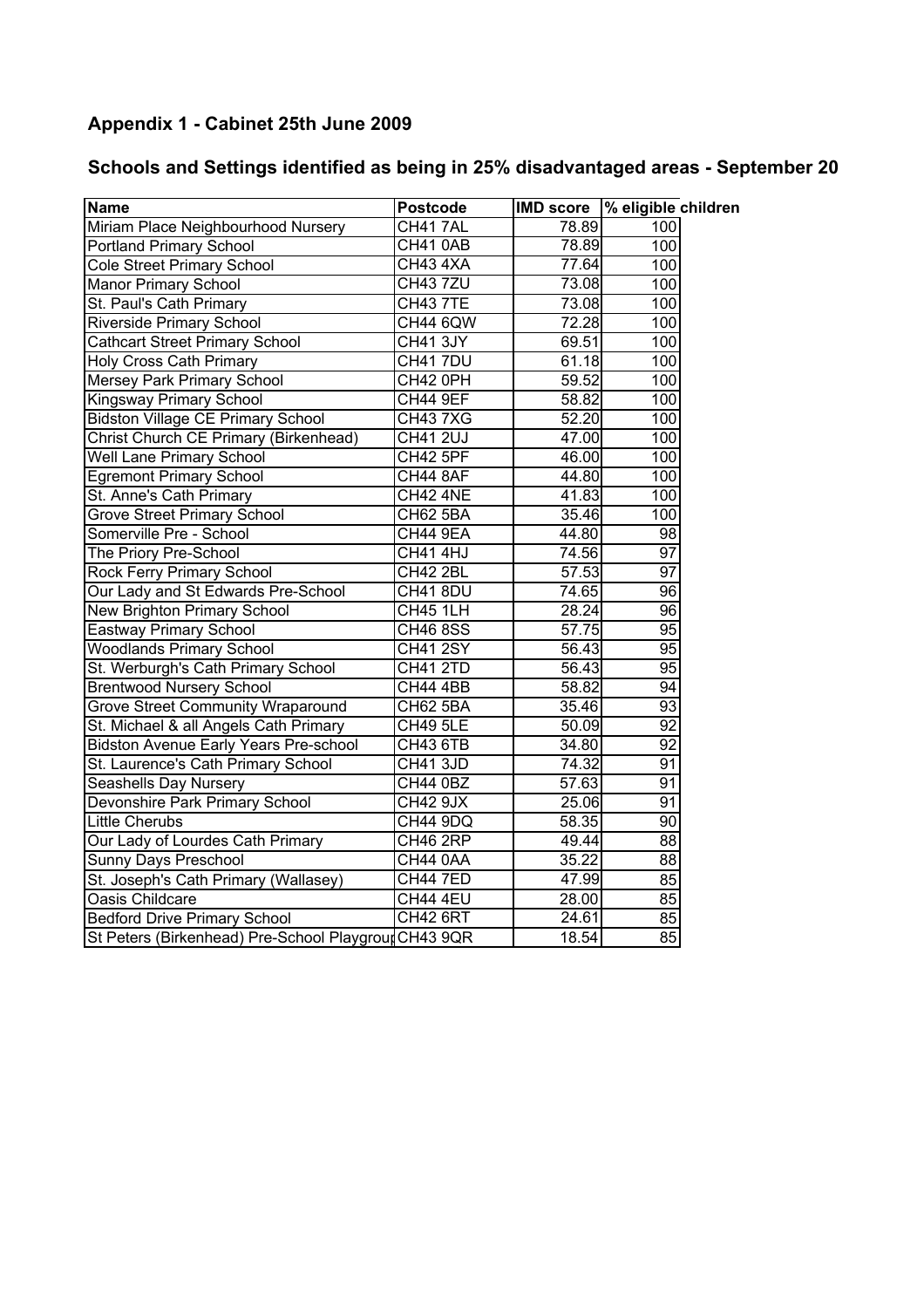## Appendix 1 - Cabinet 25th June 2009

## Schools and Settings identified as being in 25% disadvantaged areas - September 20

| <b>Name</b>                                          | <b>Postcode</b> | <b>IMD</b> score | % eligible children |
|------------------------------------------------------|-----------------|------------------|---------------------|
| Miriam Place Neighbourhood Nursery                   | CH417AL         | 78.89            | 100                 |
| <b>Portland Primary School</b>                       | <b>CH41 0AB</b> | 78.89            | 100                 |
| <b>Cole Street Primary School</b>                    | CH43 4XA        | 77.64            | 100                 |
| Manor Primary School                                 | <b>CH43 7ZU</b> | 73.08            | 100                 |
| St. Paul's Cath Primary                              | <b>CH43 7TE</b> | 73.08            | 100                 |
| <b>Riverside Primary School</b>                      | <b>CH44 6QW</b> | 72.28            | 100                 |
| <b>Cathcart Street Primary School</b>                | <b>CH41 3JY</b> | 69.51            | 100                 |
| <b>Holy Cross Cath Primary</b>                       | CH41 7DU        | 61.18            | 100                 |
| Mersey Park Primary School                           | CH42 0PH        | 59.52            | 100                 |
| Kingsway Primary School                              | <b>CH44 9EF</b> | 58.82            | 100                 |
| <b>Bidston Village CE Primary School</b>             | <b>CH437XG</b>  | 52.20            | 100                 |
| Christ Church CE Primary (Birkenhead)                | <b>CH41 2UJ</b> | 47.00            | 100                 |
| <b>Well Lane Primary School</b>                      | <b>CH42 5PF</b> | 46.00            | 100                 |
| <b>Egremont Primary School</b>                       | <b>CH44 8AF</b> | 44.80            | $\overline{100}$    |
| St. Anne's Cath Primary                              | CH42 4NE        | 41.83            | 100                 |
| <b>Grove Street Primary School</b>                   | <b>CH62 5BA</b> | 35.46            | 100                 |
| Somerville Pre - School                              | <b>CH44 9EA</b> | 44.80            | $\overline{98}$     |
| The Priory Pre-School                                | <b>CH41 4HJ</b> | 74.56            | 97                  |
| <b>Rock Ferry Primary School</b>                     | <b>CH42 2BL</b> | 57.53            | $\overline{97}$     |
| Our Lady and St Edwards Pre-School                   | CH418DU         | 74.65            | 96                  |
| New Brighton Primary School                          | <b>CH45 1LH</b> | 28.24            | 96                  |
| Eastway Primary School                               | <b>CH46 8SS</b> | 57.75            | 95                  |
| <b>Woodlands Primary School</b>                      | <b>CH41 2SY</b> | 56.43            | $\overline{95}$     |
| St. Werburgh's Cath Primary School                   | <b>CH41 2TD</b> | 56.43            | 95                  |
| <b>Brentwood Nursery School</b>                      | <b>CH44 4BB</b> | 58.82            | 94                  |
| <b>Grove Street Community Wraparound</b>             | <b>CH62 5BA</b> | 35.46            | 93                  |
| St. Michael & all Angels Cath Primary                | <b>CH49 5LE</b> | 50.09            | 92                  |
| <b>Bidston Avenue Early Years Pre-school</b>         | <b>CH43 6TB</b> | 34.80            | 92                  |
| St. Laurence's Cath Primary School                   | <b>CH41 3JD</b> | 74.32            | 91                  |
| Seashells Day Nursery                                | <b>CH44 0BZ</b> | 57.63            | 91                  |
| Devonshire Park Primary School                       | <b>CH42 9JX</b> | 25.06            | 91                  |
| <b>Little Cherubs</b>                                | CH44 9DQ        | 58.35            | 90                  |
| Our Lady of Lourdes Cath Primary                     | CH46 2RP        | 49.44            | 88                  |
| Sunny Days Preschool                                 | <b>CH44 0AA</b> | 35.22            | 88                  |
| St. Joseph's Cath Primary (Wallasey)                 | <b>CH44 7ED</b> | 47.99            | 85                  |
| Oasis Childcare                                      | <b>CH44 4EU</b> | 28.00            | 85                  |
| <b>Bedford Drive Primary School</b>                  | <b>CH42 6RT</b> | 24.61            | 85                  |
| St Peters (Birkenhead) Pre-School Playgrour CH43 9QR |                 | 18.54            | 85                  |